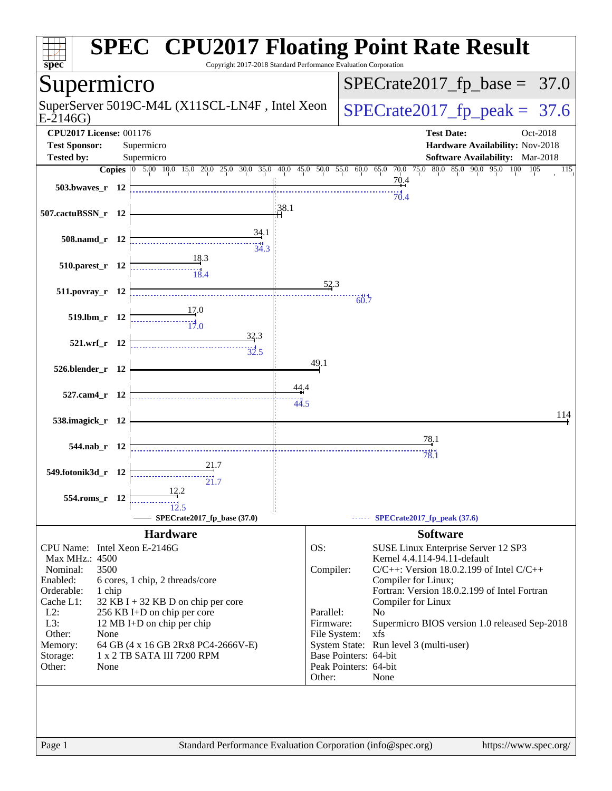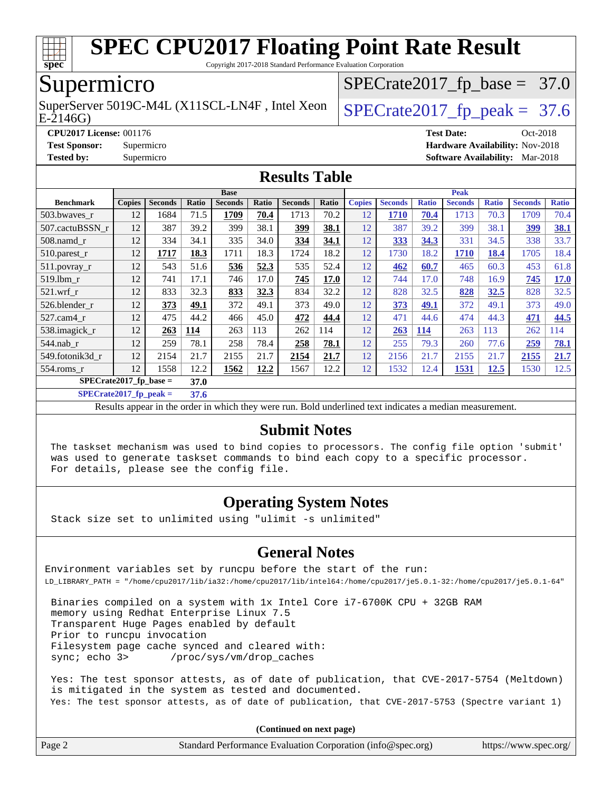

Copyright 2017-2018 Standard Performance Evaluation Corporation

### Supermicro

E-2146G) SuperServer 5019C-M4L (X11SCL-LN4F, Intel Xeon  $\big|$  [SPECrate2017\\_fp\\_peak =](http://www.spec.org/auto/cpu2017/Docs/result-fields.html#SPECrate2017fppeak) 37.6

 $SPECTate2017_fp\_base = 37.0$ 

**[CPU2017 License:](http://www.spec.org/auto/cpu2017/Docs/result-fields.html#CPU2017License)** 001176 **[Test Date:](http://www.spec.org/auto/cpu2017/Docs/result-fields.html#TestDate)** Oct-2018

**[Test Sponsor:](http://www.spec.org/auto/cpu2017/Docs/result-fields.html#TestSponsor)** Supermicro **[Hardware Availability:](http://www.spec.org/auto/cpu2017/Docs/result-fields.html#HardwareAvailability)** Nov-2018

**[Tested by:](http://www.spec.org/auto/cpu2017/Docs/result-fields.html#Testedby)** Supermicro **[Software Availability:](http://www.spec.org/auto/cpu2017/Docs/result-fields.html#SoftwareAvailability)** Mar-2018

#### **[Results Table](http://www.spec.org/auto/cpu2017/Docs/result-fields.html#ResultsTable)**

|                                  | <b>Base</b>   |                |       |                |       | <b>Peak</b>    |       |               |                |              |                |              |                |              |
|----------------------------------|---------------|----------------|-------|----------------|-------|----------------|-------|---------------|----------------|--------------|----------------|--------------|----------------|--------------|
| <b>Benchmark</b>                 | <b>Copies</b> | <b>Seconds</b> | Ratio | <b>Seconds</b> | Ratio | <b>Seconds</b> | Ratio | <b>Copies</b> | <b>Seconds</b> | <b>Ratio</b> | <b>Seconds</b> | <b>Ratio</b> | <b>Seconds</b> | <b>Ratio</b> |
| 503.bwayes r                     | 12            | 1684           | 71.5  | 1709           | 70.4  | 1713           | 70.2  | 12            | 1710           | 70.4         | 1713           | 70.3         | 1709           | 70.4         |
| 507.cactuBSSN r                  | 12            | 387            | 39.2  | 399            | 38.1  | 399            | 38.1  | 12            | 387            | 39.2         | 399            | 38.1         | <u>399</u>     | 38.1         |
| $508$ .namd $r$                  | 12            | 334            | 34.1  | 335            | 34.0  | 334            | 34.1  | 12            | 333            | 34.3         | 331            | 34.5         | 338            | 33.7         |
| 510.parest_r                     | 12            | 1717           | 18.3  | 1711           | 18.3  | 1724           | 18.2  | 12            | 1730           | 18.2         | 1710           | 18.4         | 1705           | 18.4         |
| 511.povray_r                     | 12            | 543            | 51.6  | 536            | 52.3  | 535            | 52.4  | 12            | 462            | 60.7         | 465            | 60.3         | 453            | 61.8         |
| 519.1bm r                        | 12            | 741            | 17.1  | 746            | 17.0  | 745            | 17.0  | 12            | 744            | 17.0         | 748            | 16.9         | 745            | 17.0         |
| $521$ .wrf r                     | 12            | 833            | 32.3  | 833            | 32.3  | 834            | 32.2  | 12            | 828            | 32.5         | 828            | 32.5         | 828            | 32.5         |
| 526.blender r                    | 12            | 373            | 49.1  | 372            | 49.1  | 373            | 49.0  | 12            | 373            | 49.1         | 372            | 49.1         | 373            | 49.0         |
| $527.cam4$ _r                    | 12            | 475            | 44.2  | 466            | 45.0  | 472            | 44.4  | 12            | 471            | 44.6         | 474            | 44.3         | 471            | 44.5         |
| 538.imagick_r                    | 12            | 263            | 114   | 263            | 113   | 262            | 114   | 12            | 263            | <b>114</b>   | 263            | 113          | 262            | 114          |
| $544$ .nab r                     | 12            | 259            | 78.1  | 258            | 78.4  | 258            | 78.1  | 12            | 255            | 79.3         | 260            | 77.6         | 259            | 78.1         |
| 549.fotonik3d r                  | 12            | 2154           | 21.7  | 2155           | 21.7  | 2154           | 21.7  | 12            | 2156           | 21.7         | 2155           | 21.7         | 2155           | 21.7         |
| $554$ .roms r                    | 12            | 1558           | 12.2  | 1562           | 12.2  | 1567           | 12.2  | 12            | 1532           | 12.4         | 1531           | <u>12.5</u>  | 1530           | 12.5         |
| $SPECrate2017$ fp base =<br>37.0 |               |                |       |                |       |                |       |               |                |              |                |              |                |              |

**[SPECrate2017\\_fp\\_peak =](http://www.spec.org/auto/cpu2017/Docs/result-fields.html#SPECrate2017fppeak) 37.6**

Results appear in the [order in which they were run.](http://www.spec.org/auto/cpu2017/Docs/result-fields.html#RunOrder) Bold underlined text [indicates a median measurement.](http://www.spec.org/auto/cpu2017/Docs/result-fields.html#Median)

#### **[Submit Notes](http://www.spec.org/auto/cpu2017/Docs/result-fields.html#SubmitNotes)**

 The taskset mechanism was used to bind copies to processors. The config file option 'submit' was used to generate taskset commands to bind each copy to a specific processor. For details, please see the config file.

#### **[Operating System Notes](http://www.spec.org/auto/cpu2017/Docs/result-fields.html#OperatingSystemNotes)**

Stack size set to unlimited using "ulimit -s unlimited"

#### **[General Notes](http://www.spec.org/auto/cpu2017/Docs/result-fields.html#GeneralNotes)**

Environment variables set by runcpu before the start of the run: LD\_LIBRARY\_PATH = "/home/cpu2017/lib/ia32:/home/cpu2017/lib/intel64:/home/cpu2017/je5.0.1-32:/home/cpu2017/je5.0.1-64"

 Binaries compiled on a system with 1x Intel Core i7-6700K CPU + 32GB RAM memory using Redhat Enterprise Linux 7.5 Transparent Huge Pages enabled by default Prior to runcpu invocation Filesystem page cache synced and cleared with: sync; echo 3> /proc/sys/vm/drop\_caches

 Yes: The test sponsor attests, as of date of publication, that CVE-2017-5754 (Meltdown) is mitigated in the system as tested and documented. Yes: The test sponsor attests, as of date of publication, that CVE-2017-5753 (Spectre variant 1)

**(Continued on next page)**

| https://www.spec.org/ |
|-----------------------|
|                       |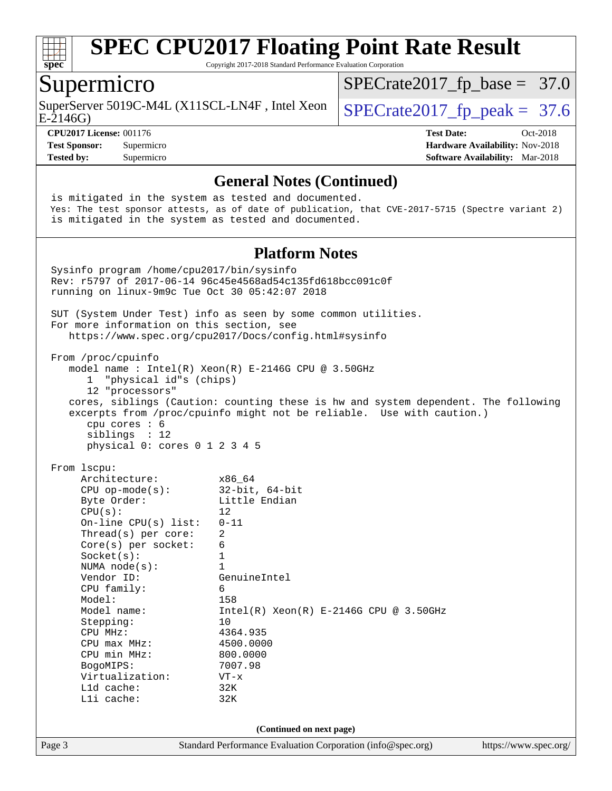

Copyright 2017-2018 Standard Performance Evaluation Corporation

#### Supermicro

SuperServer 5019C-M4L (X11SCL-LN4F, Intel Xeon  $\big|$  [SPECrate2017\\_fp\\_peak =](http://www.spec.org/auto/cpu2017/Docs/result-fields.html#SPECrate2017fppeak) 37.6

 $SPECTate2017_fp\_base = 37.0$ 

E-2146G)

**[Tested by:](http://www.spec.org/auto/cpu2017/Docs/result-fields.html#Testedby)** Supermicro **[Software Availability:](http://www.spec.org/auto/cpu2017/Docs/result-fields.html#SoftwareAvailability)** Mar-2018

**[CPU2017 License:](http://www.spec.org/auto/cpu2017/Docs/result-fields.html#CPU2017License)** 001176 **[Test Date:](http://www.spec.org/auto/cpu2017/Docs/result-fields.html#TestDate)** Oct-2018 **[Test Sponsor:](http://www.spec.org/auto/cpu2017/Docs/result-fields.html#TestSponsor)** Supermicro **[Hardware Availability:](http://www.spec.org/auto/cpu2017/Docs/result-fields.html#HardwareAvailability)** Nov-2018

#### **[General Notes \(Continued\)](http://www.spec.org/auto/cpu2017/Docs/result-fields.html#GeneralNotes)**

Page 3 Standard Performance Evaluation Corporation [\(info@spec.org\)](mailto:info@spec.org) <https://www.spec.org/> is mitigated in the system as tested and documented. Yes: The test sponsor attests, as of date of publication, that CVE-2017-5715 (Spectre variant 2) is mitigated in the system as tested and documented. **[Platform Notes](http://www.spec.org/auto/cpu2017/Docs/result-fields.html#PlatformNotes)** Sysinfo program /home/cpu2017/bin/sysinfo Rev: r5797 of 2017-06-14 96c45e4568ad54c135fd618bcc091c0f running on linux-9m9c Tue Oct 30 05:42:07 2018 SUT (System Under Test) info as seen by some common utilities. For more information on this section, see <https://www.spec.org/cpu2017/Docs/config.html#sysinfo> From /proc/cpuinfo model name : Intel(R) Xeon(R) E-2146G CPU @ 3.50GHz 1 "physical id"s (chips) 12 "processors" cores, siblings (Caution: counting these is hw and system dependent. The following excerpts from /proc/cpuinfo might not be reliable. Use with caution.) cpu cores : 6 siblings : 12 physical 0: cores 0 1 2 3 4 5 From lscpu: Architecture: x86\_64 CPU op-mode(s): 32-bit, 64-bit Byte Order: Little Endian  $CPU(s):$  12 On-line CPU(s) list: 0-11 Thread(s) per core: 2 Core(s) per socket: 6 Socket(s): 1 NUMA node(s): 1<br>Vendor ID: Ge GenuineIntel CPU family: 6 Model: 158 Model name: Intel(R) Xeon(R) E-2146G CPU @ 3.50GHz Stepping: 10 CPU MHz: 4364.935 CPU max MHz: 4500.0000<br>CPU min MHz: 800.0000 CPU min MHz: BogoMIPS: 7007.98 Virtualization: VT-x L1d cache: 32K L1i cache: 32K **(Continued on next page)**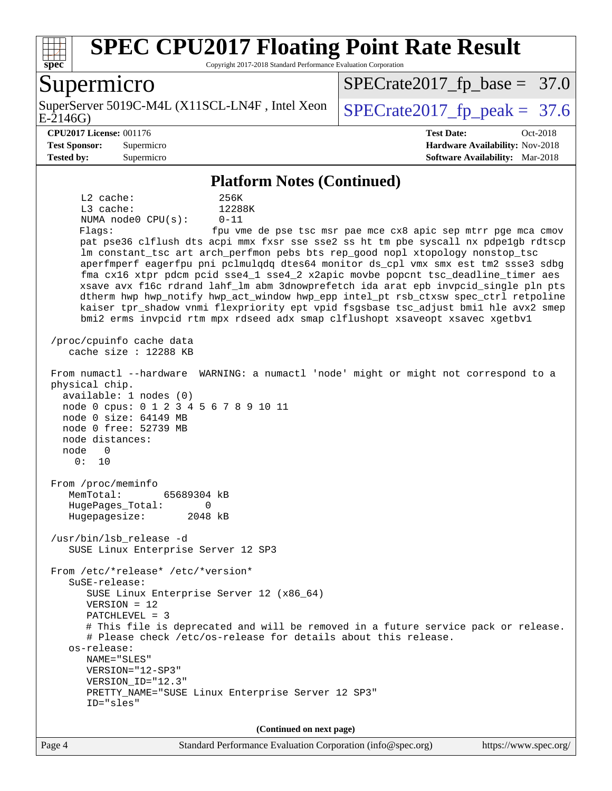

Copyright 2017-2018 Standard Performance Evaluation Corporation

### Supermicro

E-2146G) SuperServer 5019C-M4L (X11SCL-LN4F, Intel Xeon  $\big|$  [SPECrate2017\\_fp\\_peak =](http://www.spec.org/auto/cpu2017/Docs/result-fields.html#SPECrate2017fppeak) 37.6

 $SPECrate2017_fp\_base = 37.0$ 

**[CPU2017 License:](http://www.spec.org/auto/cpu2017/Docs/result-fields.html#CPU2017License)** 001176 **[Test Date:](http://www.spec.org/auto/cpu2017/Docs/result-fields.html#TestDate)** Oct-2018 **[Test Sponsor:](http://www.spec.org/auto/cpu2017/Docs/result-fields.html#TestSponsor)** Supermicro **[Hardware Availability:](http://www.spec.org/auto/cpu2017/Docs/result-fields.html#HardwareAvailability)** Nov-2018 **[Tested by:](http://www.spec.org/auto/cpu2017/Docs/result-fields.html#Testedby)** Supermicro **[Software Availability:](http://www.spec.org/auto/cpu2017/Docs/result-fields.html#SoftwareAvailability)** Mar-2018

#### **[Platform Notes \(Continued\)](http://www.spec.org/auto/cpu2017/Docs/result-fields.html#PlatformNotes)**

 L2 cache: 256K L3 cache: 12288K NUMA node0 CPU(s): 0-11 Flags: fpu vme de pse tsc msr pae mce cx8 apic sep mtrr pge mca cmov pat pse36 clflush dts acpi mmx fxsr sse sse2 ss ht tm pbe syscall nx pdpe1gb rdtscp lm constant tsc art arch perfmon pebs bts rep good nopl xtopology nonstop tsc aperfmperf eagerfpu pni pclmulqdq dtes64 monitor ds\_cpl vmx smx est tm2 ssse3 sdbg fma cx16 xtpr pdcm pcid sse4\_1 sse4\_2 x2apic movbe popcnt tsc\_deadline\_timer aes xsave avx f16c rdrand lahf\_lm abm 3dnowprefetch ida arat epb invpcid\_single pln pts dtherm hwp hwp\_notify hwp\_act\_window hwp\_epp intel\_pt rsb\_ctxsw spec\_ctrl retpoline kaiser tpr\_shadow vnmi flexpriority ept vpid fsgsbase tsc\_adjust bmi1 hle avx2 smep bmi2 erms invpcid rtm mpx rdseed adx smap clflushopt xsaveopt xsavec xgetbv1 /proc/cpuinfo cache data cache size : 12288 KB From numactl --hardware WARNING: a numactl 'node' might or might not correspond to a physical chip. available: 1 nodes (0) node 0 cpus: 0 1 2 3 4 5 6 7 8 9 10 11 node 0 size: 64149 MB node 0 free: 52739 MB node distances: node 0 0: 10 From /proc/meminfo MemTotal: 65689304 kB HugePages\_Total: 0 Hugepagesize: 2048 kB /usr/bin/lsb\_release -d SUSE Linux Enterprise Server 12 SP3 From /etc/\*release\* /etc/\*version\* SuSE-release: SUSE Linux Enterprise Server 12 (x86\_64) VERSION = 12 PATCHLEVEL = 3 # This file is deprecated and will be removed in a future service pack or release. # Please check /etc/os-release for details about this release. os-release: NAME="SLES" VERSION="12-SP3" VERSION\_ID="12.3" PRETTY\_NAME="SUSE Linux Enterprise Server 12 SP3" ID="sles" **(Continued on next page)**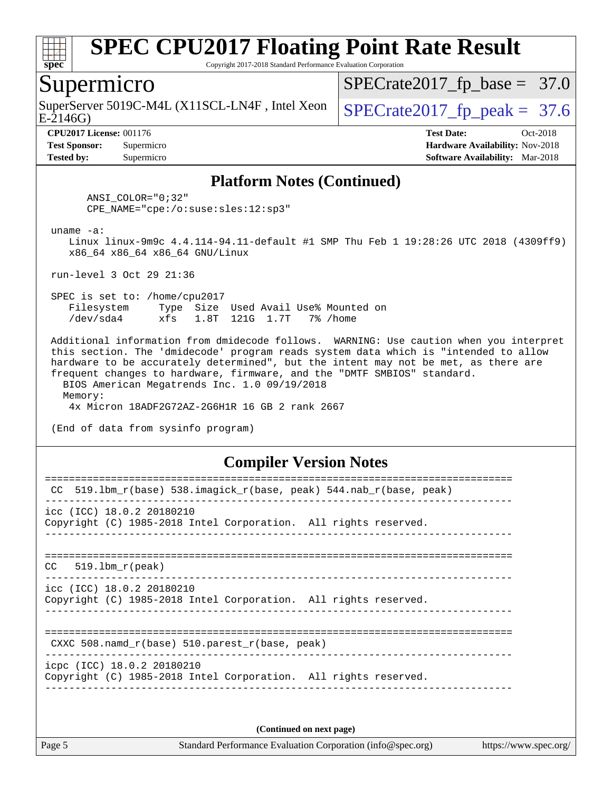

Copyright 2017-2018 Standard Performance Evaluation Corporation

#### Supermicro

SuperServer 5019C-M4L (X11SCL-LN4F, Intel Xeon  $\big|$  [SPECrate2017\\_fp\\_peak =](http://www.spec.org/auto/cpu2017/Docs/result-fields.html#SPECrate2017fppeak) 37.6

 $SPECTate2017_fp\_base = 37.0$ 

E-2146G)

**[Tested by:](http://www.spec.org/auto/cpu2017/Docs/result-fields.html#Testedby)** Supermicro **[Software Availability:](http://www.spec.org/auto/cpu2017/Docs/result-fields.html#SoftwareAvailability)** Mar-2018

**[CPU2017 License:](http://www.spec.org/auto/cpu2017/Docs/result-fields.html#CPU2017License)** 001176 **[Test Date:](http://www.spec.org/auto/cpu2017/Docs/result-fields.html#TestDate)** Oct-2018 **[Test Sponsor:](http://www.spec.org/auto/cpu2017/Docs/result-fields.html#TestSponsor)** Supermicro **[Hardware Availability:](http://www.spec.org/auto/cpu2017/Docs/result-fields.html#HardwareAvailability)** Nov-2018

#### **[Platform Notes \(Continued\)](http://www.spec.org/auto/cpu2017/Docs/result-fields.html#PlatformNotes)**

 ANSI\_COLOR="0;32" CPE\_NAME="cpe:/o:suse:sles:12:sp3"

uname -a:

 Linux linux-9m9c 4.4.114-94.11-default #1 SMP Thu Feb 1 19:28:26 UTC 2018 (4309ff9) x86\_64 x86\_64 x86\_64 GNU/Linux

run-level 3 Oct 29 21:36

 SPEC is set to: /home/cpu2017 Filesystem Type Size Used Avail Use% Mounted on /dev/sda4 xfs 1.8T 121G 1.7T 7% /home

 Additional information from dmidecode follows. WARNING: Use caution when you interpret this section. The 'dmidecode' program reads system data which is "intended to allow hardware to be accurately determined", but the intent may not be met, as there are frequent changes to hardware, firmware, and the "DMTF SMBIOS" standard. BIOS American Megatrends Inc. 1.0 09/19/2018

 Memory: 4x Micron 18ADF2G72AZ-2G6H1R 16 GB 2 rank 2667

(End of data from sysinfo program)

#### **[Compiler Version Notes](http://www.spec.org/auto/cpu2017/Docs/result-fields.html#CompilerVersionNotes)**

| 519.1bm_r(base)    538.imagick_r(base, peak)    544.nab_r(base, peak)<br>CC                   |
|-----------------------------------------------------------------------------------------------|
| icc (ICC) 18.0.2 20180210<br>Copyright (C) 1985-2018 Intel Corporation. All rights reserved.  |
| $CC = 519.1$ bm $r(\text{peak})$                                                              |
| icc (ICC) 18.0.2 20180210<br>Copyright (C) 1985-2018 Intel Corporation. All rights reserved.  |
| CXXC 508. namd $r(base)$ 510. parest $r(base, peak)$                                          |
| icpc (ICC) 18.0.2 20180210<br>Copyright (C) 1985-2018 Intel Corporation. All rights reserved. |
|                                                                                               |

**(Continued on next page)**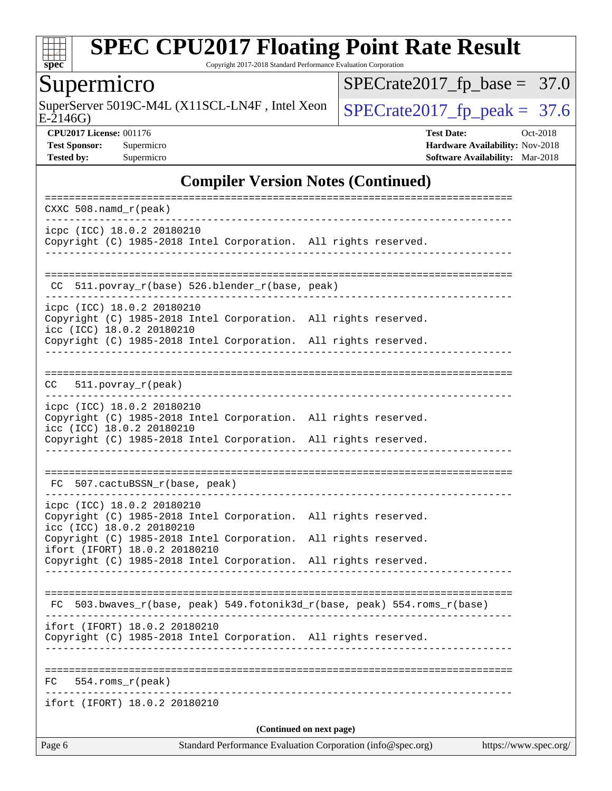

Copyright 2017-2018 Standard Performance Evaluation Corporation

### **Supermicro**

SuperServer 5019C-M4L (X11SCL-LN4F, Intel Xeon  $\sqrt{\text{SPECrate2017\_fp\_peak}} = 37.6$ 

 $SPECrate2017_fp\_base = 37.0$ 

E-2146G)

**[CPU2017 License:](http://www.spec.org/auto/cpu2017/Docs/result-fields.html#CPU2017License)** 001176 **[Test Date:](http://www.spec.org/auto/cpu2017/Docs/result-fields.html#TestDate)** Oct-2018 **[Test Sponsor:](http://www.spec.org/auto/cpu2017/Docs/result-fields.html#TestSponsor)** Supermicro **[Hardware Availability:](http://www.spec.org/auto/cpu2017/Docs/result-fields.html#HardwareAvailability)** Nov-2018 **[Tested by:](http://www.spec.org/auto/cpu2017/Docs/result-fields.html#Testedby)** Supermicro **Supermicro [Software Availability:](http://www.spec.org/auto/cpu2017/Docs/result-fields.html#SoftwareAvailability)** Mar-2018

#### **[Compiler Version Notes \(Continued\)](http://www.spec.org/auto/cpu2017/Docs/result-fields.html#CompilerVersionNotes)**

| $CXXC 508.namd_r (peak)$                                                                                                                                                                                                                                                                          |
|---------------------------------------------------------------------------------------------------------------------------------------------------------------------------------------------------------------------------------------------------------------------------------------------------|
| ---------------<br>icpc (ICC) 18.0.2 20180210<br>Copyright (C) 1985-2018 Intel Corporation. All rights reserved.                                                                                                                                                                                  |
| CC 511.povray_r(base) 526.blender_r(base, peak)                                                                                                                                                                                                                                                   |
| __________________________________<br>icpc (ICC) 18.0.2 20180210<br>Copyright (C) 1985-2018 Intel Corporation. All rights reserved.<br>icc (ICC) 18.0.2 20180210<br>Copyright (C) 1985-2018 Intel Corporation. All rights reserved.<br>---------------                                            |
| $511. povray_r (peak)$<br>CC                                                                                                                                                                                                                                                                      |
| icpc (ICC) 18.0.2 20180210<br>Copyright (C) 1985-2018 Intel Corporation. All rights reserved.<br>icc (ICC) 18.0.2 20180210<br>Copyright (C) 1985-2018 Intel Corporation. All rights reserved.                                                                                                     |
| FC 507.cactuBSSN_r(base, peak)                                                                                                                                                                                                                                                                    |
| icpc (ICC) 18.0.2 20180210<br>Copyright (C) 1985-2018 Intel Corporation. All rights reserved.<br>icc (ICC) 18.0.2 20180210<br>Copyright (C) 1985-2018 Intel Corporation. All rights reserved.<br>ifort (IFORT) 18.0.2 20180210<br>Copyright (C) 1985-2018 Intel Corporation. All rights reserved. |
| FC 503.bwaves_r(base, peak) 549.fotonik3d_r(base, peak) 554.roms_r(base)                                                                                                                                                                                                                          |
| ifort (IFORT) 18.0.2 20180210<br>Copyright (C) 1985-2018 Intel Corporation. All rights reserved.                                                                                                                                                                                                  |
| 554.roms_r(peak)<br>FC                                                                                                                                                                                                                                                                            |
| ifort (IFORT) 18.0.2 20180210                                                                                                                                                                                                                                                                     |
| (Continued on next page)<br>Standard Performance Evaluation Corporation (info@spec.org)<br>Page 6<br>https://www.spec.org/                                                                                                                                                                        |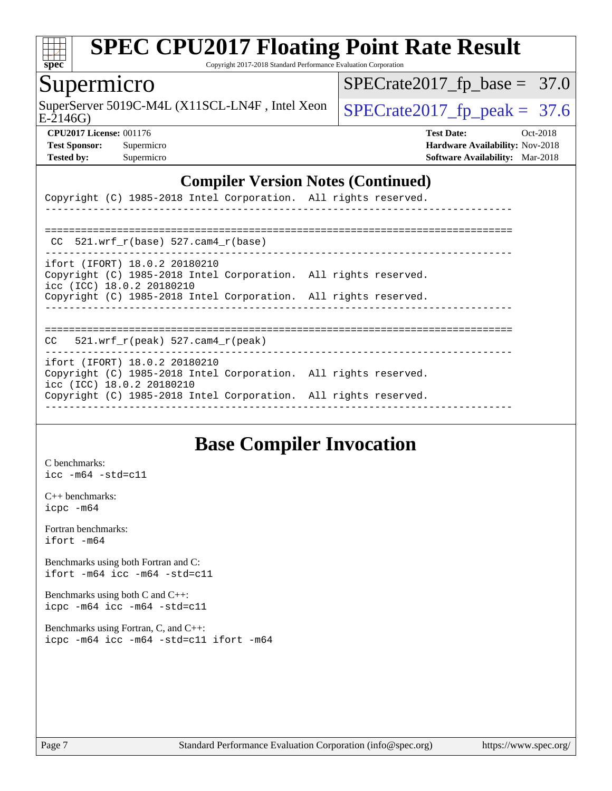

Copyright 2017-2018 Standard Performance Evaluation Corporation

#### Supermicro

SuperServer 5019C-M4L (X11SCL-LN4F, Intel Xeon  $\Big|$  [SPECrate2017\\_fp\\_peak =](http://www.spec.org/auto/cpu2017/Docs/result-fields.html#SPECrate2017fppeak) 37.6

 $SPECrate2017_fp\_base = 37.0$ 

E-2146G)

**[Tested by:](http://www.spec.org/auto/cpu2017/Docs/result-fields.html#Testedby)** Supermicro **[Software Availability:](http://www.spec.org/auto/cpu2017/Docs/result-fields.html#SoftwareAvailability)** Mar-2018

**[CPU2017 License:](http://www.spec.org/auto/cpu2017/Docs/result-fields.html#CPU2017License)** 001176 **[Test Date:](http://www.spec.org/auto/cpu2017/Docs/result-fields.html#TestDate)** Oct-2018 **[Test Sponsor:](http://www.spec.org/auto/cpu2017/Docs/result-fields.html#TestSponsor)** Supermicro **[Hardware Availability:](http://www.spec.org/auto/cpu2017/Docs/result-fields.html#HardwareAvailability)** Nov-2018

#### **[Compiler Version Notes \(Continued\)](http://www.spec.org/auto/cpu2017/Docs/result-fields.html#CompilerVersionNotes)**

| Copyright (C) 1985-2018 Intel Corporation. All rights reserved.                                                               |  |  |
|-------------------------------------------------------------------------------------------------------------------------------|--|--|
|                                                                                                                               |  |  |
| CC $521.wrf$ $r(base)$ $527.cam4$ $r(base)$                                                                                   |  |  |
| ifort (IFORT) 18.0.2 20180210<br>Copyright (C) 1985-2018 Intel Corporation. All rights reserved.<br>icc (ICC) 18.0.2 20180210 |  |  |
| Copyright (C) 1985-2018 Intel Corporation. All rights reserved.                                                               |  |  |
| $CC = 521$ .wrf $r(\text{peak})$ 527.cam4 $r(\text{peak})$                                                                    |  |  |
| ifort (IFORT) 18.0.2 20180210<br>Copyright (C) 1985-2018 Intel Corporation. All rights reserved.<br>icc (ICC) 18.0.2 20180210 |  |  |
| Copyright (C) 1985-2018 Intel Corporation. All rights reserved.                                                               |  |  |

### **[Base Compiler Invocation](http://www.spec.org/auto/cpu2017/Docs/result-fields.html#BaseCompilerInvocation)**

[C benchmarks](http://www.spec.org/auto/cpu2017/Docs/result-fields.html#Cbenchmarks): [icc -m64 -std=c11](http://www.spec.org/cpu2017/results/res2018q4/cpu2017-20181112-09622.flags.html#user_CCbase_intel_icc_64bit_c11_33ee0cdaae7deeeab2a9725423ba97205ce30f63b9926c2519791662299b76a0318f32ddfffdc46587804de3178b4f9328c46fa7c2b0cd779d7a61945c91cd35)

[C++ benchmarks:](http://www.spec.org/auto/cpu2017/Docs/result-fields.html#CXXbenchmarks) [icpc -m64](http://www.spec.org/cpu2017/results/res2018q4/cpu2017-20181112-09622.flags.html#user_CXXbase_intel_icpc_64bit_4ecb2543ae3f1412ef961e0650ca070fec7b7afdcd6ed48761b84423119d1bf6bdf5cad15b44d48e7256388bc77273b966e5eb805aefd121eb22e9299b2ec9d9)

[Fortran benchmarks](http://www.spec.org/auto/cpu2017/Docs/result-fields.html#Fortranbenchmarks): [ifort -m64](http://www.spec.org/cpu2017/results/res2018q4/cpu2017-20181112-09622.flags.html#user_FCbase_intel_ifort_64bit_24f2bb282fbaeffd6157abe4f878425411749daecae9a33200eee2bee2fe76f3b89351d69a8130dd5949958ce389cf37ff59a95e7a40d588e8d3a57e0c3fd751)

[Benchmarks using both Fortran and C](http://www.spec.org/auto/cpu2017/Docs/result-fields.html#BenchmarksusingbothFortranandC): [ifort -m64](http://www.spec.org/cpu2017/results/res2018q4/cpu2017-20181112-09622.flags.html#user_CC_FCbase_intel_ifort_64bit_24f2bb282fbaeffd6157abe4f878425411749daecae9a33200eee2bee2fe76f3b89351d69a8130dd5949958ce389cf37ff59a95e7a40d588e8d3a57e0c3fd751) [icc -m64 -std=c11](http://www.spec.org/cpu2017/results/res2018q4/cpu2017-20181112-09622.flags.html#user_CC_FCbase_intel_icc_64bit_c11_33ee0cdaae7deeeab2a9725423ba97205ce30f63b9926c2519791662299b76a0318f32ddfffdc46587804de3178b4f9328c46fa7c2b0cd779d7a61945c91cd35)

[Benchmarks using both C and C++](http://www.spec.org/auto/cpu2017/Docs/result-fields.html#BenchmarksusingbothCandCXX): [icpc -m64](http://www.spec.org/cpu2017/results/res2018q4/cpu2017-20181112-09622.flags.html#user_CC_CXXbase_intel_icpc_64bit_4ecb2543ae3f1412ef961e0650ca070fec7b7afdcd6ed48761b84423119d1bf6bdf5cad15b44d48e7256388bc77273b966e5eb805aefd121eb22e9299b2ec9d9) [icc -m64 -std=c11](http://www.spec.org/cpu2017/results/res2018q4/cpu2017-20181112-09622.flags.html#user_CC_CXXbase_intel_icc_64bit_c11_33ee0cdaae7deeeab2a9725423ba97205ce30f63b9926c2519791662299b76a0318f32ddfffdc46587804de3178b4f9328c46fa7c2b0cd779d7a61945c91cd35)

[Benchmarks using Fortran, C, and C++:](http://www.spec.org/auto/cpu2017/Docs/result-fields.html#BenchmarksusingFortranCandCXX) [icpc -m64](http://www.spec.org/cpu2017/results/res2018q4/cpu2017-20181112-09622.flags.html#user_CC_CXX_FCbase_intel_icpc_64bit_4ecb2543ae3f1412ef961e0650ca070fec7b7afdcd6ed48761b84423119d1bf6bdf5cad15b44d48e7256388bc77273b966e5eb805aefd121eb22e9299b2ec9d9) [icc -m64 -std=c11](http://www.spec.org/cpu2017/results/res2018q4/cpu2017-20181112-09622.flags.html#user_CC_CXX_FCbase_intel_icc_64bit_c11_33ee0cdaae7deeeab2a9725423ba97205ce30f63b9926c2519791662299b76a0318f32ddfffdc46587804de3178b4f9328c46fa7c2b0cd779d7a61945c91cd35) [ifort -m64](http://www.spec.org/cpu2017/results/res2018q4/cpu2017-20181112-09622.flags.html#user_CC_CXX_FCbase_intel_ifort_64bit_24f2bb282fbaeffd6157abe4f878425411749daecae9a33200eee2bee2fe76f3b89351d69a8130dd5949958ce389cf37ff59a95e7a40d588e8d3a57e0c3fd751)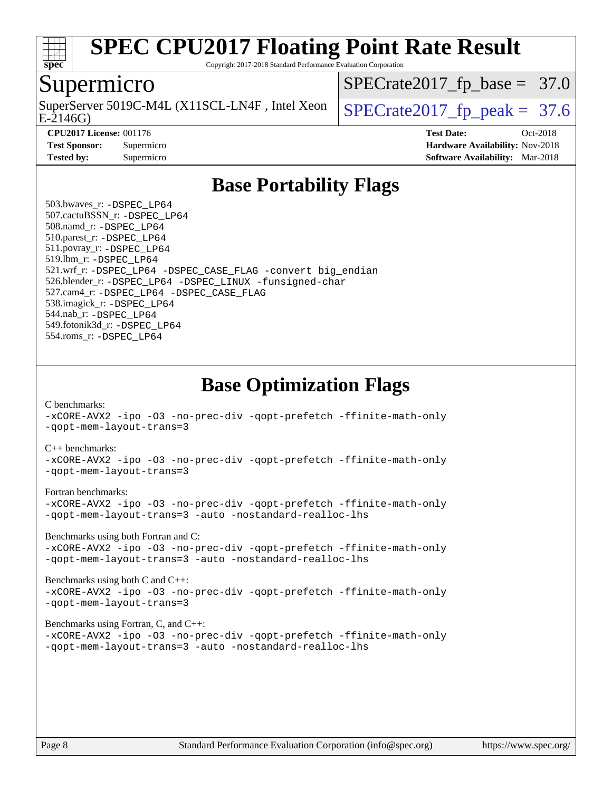

Copyright 2017-2018 Standard Performance Evaluation Corporation

#### Supermicro

E-2146G) SuperServer 5019C-M4L (X11SCL-LN4F, Intel Xeon  $\big|$  SPECrate 2017 fp peak = 37.6

 $SPECrate2017_fp\_base = 37.0$ 

**[Tested by:](http://www.spec.org/auto/cpu2017/Docs/result-fields.html#Testedby)** Supermicro **[Software Availability:](http://www.spec.org/auto/cpu2017/Docs/result-fields.html#SoftwareAvailability)** Mar-2018

**[CPU2017 License:](http://www.spec.org/auto/cpu2017/Docs/result-fields.html#CPU2017License)** 001176 **[Test Date:](http://www.spec.org/auto/cpu2017/Docs/result-fields.html#TestDate)** Oct-2018 **[Test Sponsor:](http://www.spec.org/auto/cpu2017/Docs/result-fields.html#TestSponsor)** Supermicro **[Hardware Availability:](http://www.spec.org/auto/cpu2017/Docs/result-fields.html#HardwareAvailability)** Nov-2018

### **[Base Portability Flags](http://www.spec.org/auto/cpu2017/Docs/result-fields.html#BasePortabilityFlags)**

 503.bwaves\_r: [-DSPEC\\_LP64](http://www.spec.org/cpu2017/results/res2018q4/cpu2017-20181112-09622.flags.html#suite_basePORTABILITY503_bwaves_r_DSPEC_LP64) 507.cactuBSSN\_r: [-DSPEC\\_LP64](http://www.spec.org/cpu2017/results/res2018q4/cpu2017-20181112-09622.flags.html#suite_basePORTABILITY507_cactuBSSN_r_DSPEC_LP64) 508.namd\_r: [-DSPEC\\_LP64](http://www.spec.org/cpu2017/results/res2018q4/cpu2017-20181112-09622.flags.html#suite_basePORTABILITY508_namd_r_DSPEC_LP64) 510.parest\_r: [-DSPEC\\_LP64](http://www.spec.org/cpu2017/results/res2018q4/cpu2017-20181112-09622.flags.html#suite_basePORTABILITY510_parest_r_DSPEC_LP64) 511.povray\_r: [-DSPEC\\_LP64](http://www.spec.org/cpu2017/results/res2018q4/cpu2017-20181112-09622.flags.html#suite_basePORTABILITY511_povray_r_DSPEC_LP64) 519.lbm\_r: [-DSPEC\\_LP64](http://www.spec.org/cpu2017/results/res2018q4/cpu2017-20181112-09622.flags.html#suite_basePORTABILITY519_lbm_r_DSPEC_LP64) 521.wrf\_r: [-DSPEC\\_LP64](http://www.spec.org/cpu2017/results/res2018q4/cpu2017-20181112-09622.flags.html#suite_basePORTABILITY521_wrf_r_DSPEC_LP64) [-DSPEC\\_CASE\\_FLAG](http://www.spec.org/cpu2017/results/res2018q4/cpu2017-20181112-09622.flags.html#b521.wrf_r_baseCPORTABILITY_DSPEC_CASE_FLAG) [-convert big\\_endian](http://www.spec.org/cpu2017/results/res2018q4/cpu2017-20181112-09622.flags.html#user_baseFPORTABILITY521_wrf_r_convert_big_endian_c3194028bc08c63ac5d04de18c48ce6d347e4e562e8892b8bdbdc0214820426deb8554edfa529a3fb25a586e65a3d812c835984020483e7e73212c4d31a38223) 526.blender\_r: [-DSPEC\\_LP64](http://www.spec.org/cpu2017/results/res2018q4/cpu2017-20181112-09622.flags.html#suite_basePORTABILITY526_blender_r_DSPEC_LP64) [-DSPEC\\_LINUX](http://www.spec.org/cpu2017/results/res2018q4/cpu2017-20181112-09622.flags.html#b526.blender_r_baseCPORTABILITY_DSPEC_LINUX) [-funsigned-char](http://www.spec.org/cpu2017/results/res2018q4/cpu2017-20181112-09622.flags.html#user_baseCPORTABILITY526_blender_r_force_uchar_40c60f00ab013830e2dd6774aeded3ff59883ba5a1fc5fc14077f794d777847726e2a5858cbc7672e36e1b067e7e5c1d9a74f7176df07886a243d7cc18edfe67) 527.cam4\_r: [-DSPEC\\_LP64](http://www.spec.org/cpu2017/results/res2018q4/cpu2017-20181112-09622.flags.html#suite_basePORTABILITY527_cam4_r_DSPEC_LP64) [-DSPEC\\_CASE\\_FLAG](http://www.spec.org/cpu2017/results/res2018q4/cpu2017-20181112-09622.flags.html#b527.cam4_r_baseCPORTABILITY_DSPEC_CASE_FLAG) 538.imagick\_r: [-DSPEC\\_LP64](http://www.spec.org/cpu2017/results/res2018q4/cpu2017-20181112-09622.flags.html#suite_basePORTABILITY538_imagick_r_DSPEC_LP64) 544.nab\_r: [-DSPEC\\_LP64](http://www.spec.org/cpu2017/results/res2018q4/cpu2017-20181112-09622.flags.html#suite_basePORTABILITY544_nab_r_DSPEC_LP64) 549.fotonik3d\_r: [-DSPEC\\_LP64](http://www.spec.org/cpu2017/results/res2018q4/cpu2017-20181112-09622.flags.html#suite_basePORTABILITY549_fotonik3d_r_DSPEC_LP64) 554.roms\_r: [-DSPEC\\_LP64](http://www.spec.org/cpu2017/results/res2018q4/cpu2017-20181112-09622.flags.html#suite_basePORTABILITY554_roms_r_DSPEC_LP64)

**[Base Optimization Flags](http://www.spec.org/auto/cpu2017/Docs/result-fields.html#BaseOptimizationFlags)**

[C benchmarks](http://www.spec.org/auto/cpu2017/Docs/result-fields.html#Cbenchmarks):

[-xCORE-AVX2](http://www.spec.org/cpu2017/results/res2018q4/cpu2017-20181112-09622.flags.html#user_CCbase_f-xCORE-AVX2) [-ipo](http://www.spec.org/cpu2017/results/res2018q4/cpu2017-20181112-09622.flags.html#user_CCbase_f-ipo) [-O3](http://www.spec.org/cpu2017/results/res2018q4/cpu2017-20181112-09622.flags.html#user_CCbase_f-O3) [-no-prec-div](http://www.spec.org/cpu2017/results/res2018q4/cpu2017-20181112-09622.flags.html#user_CCbase_f-no-prec-div) [-qopt-prefetch](http://www.spec.org/cpu2017/results/res2018q4/cpu2017-20181112-09622.flags.html#user_CCbase_f-qopt-prefetch) [-ffinite-math-only](http://www.spec.org/cpu2017/results/res2018q4/cpu2017-20181112-09622.flags.html#user_CCbase_f_finite_math_only_cb91587bd2077682c4b38af759c288ed7c732db004271a9512da14a4f8007909a5f1427ecbf1a0fb78ff2a814402c6114ac565ca162485bbcae155b5e4258871) [-qopt-mem-layout-trans=3](http://www.spec.org/cpu2017/results/res2018q4/cpu2017-20181112-09622.flags.html#user_CCbase_f-qopt-mem-layout-trans_de80db37974c74b1f0e20d883f0b675c88c3b01e9d123adea9b28688d64333345fb62bc4a798493513fdb68f60282f9a726aa07f478b2f7113531aecce732043)

#### [C++ benchmarks:](http://www.spec.org/auto/cpu2017/Docs/result-fields.html#CXXbenchmarks)

[-xCORE-AVX2](http://www.spec.org/cpu2017/results/res2018q4/cpu2017-20181112-09622.flags.html#user_CXXbase_f-xCORE-AVX2) [-ipo](http://www.spec.org/cpu2017/results/res2018q4/cpu2017-20181112-09622.flags.html#user_CXXbase_f-ipo) [-O3](http://www.spec.org/cpu2017/results/res2018q4/cpu2017-20181112-09622.flags.html#user_CXXbase_f-O3) [-no-prec-div](http://www.spec.org/cpu2017/results/res2018q4/cpu2017-20181112-09622.flags.html#user_CXXbase_f-no-prec-div) [-qopt-prefetch](http://www.spec.org/cpu2017/results/res2018q4/cpu2017-20181112-09622.flags.html#user_CXXbase_f-qopt-prefetch) [-ffinite-math-only](http://www.spec.org/cpu2017/results/res2018q4/cpu2017-20181112-09622.flags.html#user_CXXbase_f_finite_math_only_cb91587bd2077682c4b38af759c288ed7c732db004271a9512da14a4f8007909a5f1427ecbf1a0fb78ff2a814402c6114ac565ca162485bbcae155b5e4258871) [-qopt-mem-layout-trans=3](http://www.spec.org/cpu2017/results/res2018q4/cpu2017-20181112-09622.flags.html#user_CXXbase_f-qopt-mem-layout-trans_de80db37974c74b1f0e20d883f0b675c88c3b01e9d123adea9b28688d64333345fb62bc4a798493513fdb68f60282f9a726aa07f478b2f7113531aecce732043)

#### [Fortran benchmarks](http://www.spec.org/auto/cpu2017/Docs/result-fields.html#Fortranbenchmarks):

[-xCORE-AVX2](http://www.spec.org/cpu2017/results/res2018q4/cpu2017-20181112-09622.flags.html#user_FCbase_f-xCORE-AVX2) [-ipo](http://www.spec.org/cpu2017/results/res2018q4/cpu2017-20181112-09622.flags.html#user_FCbase_f-ipo) [-O3](http://www.spec.org/cpu2017/results/res2018q4/cpu2017-20181112-09622.flags.html#user_FCbase_f-O3) [-no-prec-div](http://www.spec.org/cpu2017/results/res2018q4/cpu2017-20181112-09622.flags.html#user_FCbase_f-no-prec-div) [-qopt-prefetch](http://www.spec.org/cpu2017/results/res2018q4/cpu2017-20181112-09622.flags.html#user_FCbase_f-qopt-prefetch) [-ffinite-math-only](http://www.spec.org/cpu2017/results/res2018q4/cpu2017-20181112-09622.flags.html#user_FCbase_f_finite_math_only_cb91587bd2077682c4b38af759c288ed7c732db004271a9512da14a4f8007909a5f1427ecbf1a0fb78ff2a814402c6114ac565ca162485bbcae155b5e4258871) [-qopt-mem-layout-trans=3](http://www.spec.org/cpu2017/results/res2018q4/cpu2017-20181112-09622.flags.html#user_FCbase_f-qopt-mem-layout-trans_de80db37974c74b1f0e20d883f0b675c88c3b01e9d123adea9b28688d64333345fb62bc4a798493513fdb68f60282f9a726aa07f478b2f7113531aecce732043) [-auto](http://www.spec.org/cpu2017/results/res2018q4/cpu2017-20181112-09622.flags.html#user_FCbase_f-auto) [-nostandard-realloc-lhs](http://www.spec.org/cpu2017/results/res2018q4/cpu2017-20181112-09622.flags.html#user_FCbase_f_2003_std_realloc_82b4557e90729c0f113870c07e44d33d6f5a304b4f63d4c15d2d0f1fab99f5daaed73bdb9275d9ae411527f28b936061aa8b9c8f2d63842963b95c9dd6426b8a)

[Benchmarks using both Fortran and C](http://www.spec.org/auto/cpu2017/Docs/result-fields.html#BenchmarksusingbothFortranandC):

[-xCORE-AVX2](http://www.spec.org/cpu2017/results/res2018q4/cpu2017-20181112-09622.flags.html#user_CC_FCbase_f-xCORE-AVX2) [-ipo](http://www.spec.org/cpu2017/results/res2018q4/cpu2017-20181112-09622.flags.html#user_CC_FCbase_f-ipo) [-O3](http://www.spec.org/cpu2017/results/res2018q4/cpu2017-20181112-09622.flags.html#user_CC_FCbase_f-O3) [-no-prec-div](http://www.spec.org/cpu2017/results/res2018q4/cpu2017-20181112-09622.flags.html#user_CC_FCbase_f-no-prec-div) [-qopt-prefetch](http://www.spec.org/cpu2017/results/res2018q4/cpu2017-20181112-09622.flags.html#user_CC_FCbase_f-qopt-prefetch) [-ffinite-math-only](http://www.spec.org/cpu2017/results/res2018q4/cpu2017-20181112-09622.flags.html#user_CC_FCbase_f_finite_math_only_cb91587bd2077682c4b38af759c288ed7c732db004271a9512da14a4f8007909a5f1427ecbf1a0fb78ff2a814402c6114ac565ca162485bbcae155b5e4258871) [-qopt-mem-layout-trans=3](http://www.spec.org/cpu2017/results/res2018q4/cpu2017-20181112-09622.flags.html#user_CC_FCbase_f-qopt-mem-layout-trans_de80db37974c74b1f0e20d883f0b675c88c3b01e9d123adea9b28688d64333345fb62bc4a798493513fdb68f60282f9a726aa07f478b2f7113531aecce732043) [-auto](http://www.spec.org/cpu2017/results/res2018q4/cpu2017-20181112-09622.flags.html#user_CC_FCbase_f-auto) [-nostandard-realloc-lhs](http://www.spec.org/cpu2017/results/res2018q4/cpu2017-20181112-09622.flags.html#user_CC_FCbase_f_2003_std_realloc_82b4557e90729c0f113870c07e44d33d6f5a304b4f63d4c15d2d0f1fab99f5daaed73bdb9275d9ae411527f28b936061aa8b9c8f2d63842963b95c9dd6426b8a)

[Benchmarks using both C and C++](http://www.spec.org/auto/cpu2017/Docs/result-fields.html#BenchmarksusingbothCandCXX): [-xCORE-AVX2](http://www.spec.org/cpu2017/results/res2018q4/cpu2017-20181112-09622.flags.html#user_CC_CXXbase_f-xCORE-AVX2) [-ipo](http://www.spec.org/cpu2017/results/res2018q4/cpu2017-20181112-09622.flags.html#user_CC_CXXbase_f-ipo) [-O3](http://www.spec.org/cpu2017/results/res2018q4/cpu2017-20181112-09622.flags.html#user_CC_CXXbase_f-O3) [-no-prec-div](http://www.spec.org/cpu2017/results/res2018q4/cpu2017-20181112-09622.flags.html#user_CC_CXXbase_f-no-prec-div) [-qopt-prefetch](http://www.spec.org/cpu2017/results/res2018q4/cpu2017-20181112-09622.flags.html#user_CC_CXXbase_f-qopt-prefetch) [-ffinite-math-only](http://www.spec.org/cpu2017/results/res2018q4/cpu2017-20181112-09622.flags.html#user_CC_CXXbase_f_finite_math_only_cb91587bd2077682c4b38af759c288ed7c732db004271a9512da14a4f8007909a5f1427ecbf1a0fb78ff2a814402c6114ac565ca162485bbcae155b5e4258871) [-qopt-mem-layout-trans=3](http://www.spec.org/cpu2017/results/res2018q4/cpu2017-20181112-09622.flags.html#user_CC_CXXbase_f-qopt-mem-layout-trans_de80db37974c74b1f0e20d883f0b675c88c3b01e9d123adea9b28688d64333345fb62bc4a798493513fdb68f60282f9a726aa07f478b2f7113531aecce732043)

#### [Benchmarks using Fortran, C, and C++:](http://www.spec.org/auto/cpu2017/Docs/result-fields.html#BenchmarksusingFortranCandCXX)

[-xCORE-AVX2](http://www.spec.org/cpu2017/results/res2018q4/cpu2017-20181112-09622.flags.html#user_CC_CXX_FCbase_f-xCORE-AVX2) [-ipo](http://www.spec.org/cpu2017/results/res2018q4/cpu2017-20181112-09622.flags.html#user_CC_CXX_FCbase_f-ipo) [-O3](http://www.spec.org/cpu2017/results/res2018q4/cpu2017-20181112-09622.flags.html#user_CC_CXX_FCbase_f-O3) [-no-prec-div](http://www.spec.org/cpu2017/results/res2018q4/cpu2017-20181112-09622.flags.html#user_CC_CXX_FCbase_f-no-prec-div) [-qopt-prefetch](http://www.spec.org/cpu2017/results/res2018q4/cpu2017-20181112-09622.flags.html#user_CC_CXX_FCbase_f-qopt-prefetch) [-ffinite-math-only](http://www.spec.org/cpu2017/results/res2018q4/cpu2017-20181112-09622.flags.html#user_CC_CXX_FCbase_f_finite_math_only_cb91587bd2077682c4b38af759c288ed7c732db004271a9512da14a4f8007909a5f1427ecbf1a0fb78ff2a814402c6114ac565ca162485bbcae155b5e4258871) [-qopt-mem-layout-trans=3](http://www.spec.org/cpu2017/results/res2018q4/cpu2017-20181112-09622.flags.html#user_CC_CXX_FCbase_f-qopt-mem-layout-trans_de80db37974c74b1f0e20d883f0b675c88c3b01e9d123adea9b28688d64333345fb62bc4a798493513fdb68f60282f9a726aa07f478b2f7113531aecce732043) [-auto](http://www.spec.org/cpu2017/results/res2018q4/cpu2017-20181112-09622.flags.html#user_CC_CXX_FCbase_f-auto) [-nostandard-realloc-lhs](http://www.spec.org/cpu2017/results/res2018q4/cpu2017-20181112-09622.flags.html#user_CC_CXX_FCbase_f_2003_std_realloc_82b4557e90729c0f113870c07e44d33d6f5a304b4f63d4c15d2d0f1fab99f5daaed73bdb9275d9ae411527f28b936061aa8b9c8f2d63842963b95c9dd6426b8a)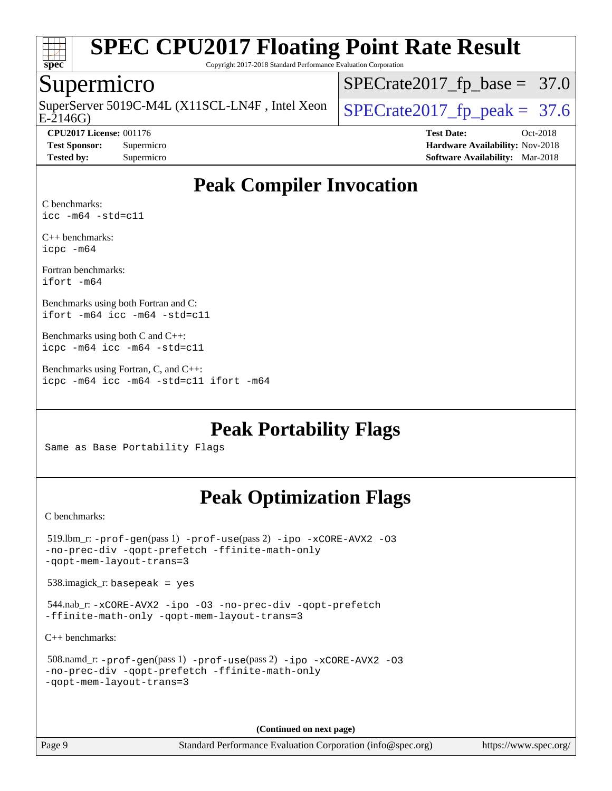

Copyright 2017-2018 Standard Performance Evaluation Corporation

#### Supermicro

E-2146G) SuperServer 5019C-M4L (X11SCL-LN4F, Intel Xeon  $\big|$  [SPECrate2017\\_fp\\_peak =](http://www.spec.org/auto/cpu2017/Docs/result-fields.html#SPECrate2017fppeak) 37.6

 $SPECrate2017_fp\_base = 37.0$ 

**[CPU2017 License:](http://www.spec.org/auto/cpu2017/Docs/result-fields.html#CPU2017License)** 001176 **[Test Date:](http://www.spec.org/auto/cpu2017/Docs/result-fields.html#TestDate)** Oct-2018 **[Test Sponsor:](http://www.spec.org/auto/cpu2017/Docs/result-fields.html#TestSponsor)** Supermicro **[Hardware Availability:](http://www.spec.org/auto/cpu2017/Docs/result-fields.html#HardwareAvailability)** Nov-2018 **[Tested by:](http://www.spec.org/auto/cpu2017/Docs/result-fields.html#Testedby)** Supermicro **[Software Availability:](http://www.spec.org/auto/cpu2017/Docs/result-fields.html#SoftwareAvailability)** Mar-2018

### **[Peak Compiler Invocation](http://www.spec.org/auto/cpu2017/Docs/result-fields.html#PeakCompilerInvocation)**

[C benchmarks:](http://www.spec.org/auto/cpu2017/Docs/result-fields.html#Cbenchmarks) [icc -m64 -std=c11](http://www.spec.org/cpu2017/results/res2018q4/cpu2017-20181112-09622.flags.html#user_CCpeak_intel_icc_64bit_c11_33ee0cdaae7deeeab2a9725423ba97205ce30f63b9926c2519791662299b76a0318f32ddfffdc46587804de3178b4f9328c46fa7c2b0cd779d7a61945c91cd35)

[C++ benchmarks:](http://www.spec.org/auto/cpu2017/Docs/result-fields.html#CXXbenchmarks) [icpc -m64](http://www.spec.org/cpu2017/results/res2018q4/cpu2017-20181112-09622.flags.html#user_CXXpeak_intel_icpc_64bit_4ecb2543ae3f1412ef961e0650ca070fec7b7afdcd6ed48761b84423119d1bf6bdf5cad15b44d48e7256388bc77273b966e5eb805aefd121eb22e9299b2ec9d9)

[Fortran benchmarks](http://www.spec.org/auto/cpu2017/Docs/result-fields.html#Fortranbenchmarks): [ifort -m64](http://www.spec.org/cpu2017/results/res2018q4/cpu2017-20181112-09622.flags.html#user_FCpeak_intel_ifort_64bit_24f2bb282fbaeffd6157abe4f878425411749daecae9a33200eee2bee2fe76f3b89351d69a8130dd5949958ce389cf37ff59a95e7a40d588e8d3a57e0c3fd751)

[Benchmarks using both Fortran and C:](http://www.spec.org/auto/cpu2017/Docs/result-fields.html#BenchmarksusingbothFortranandC) [ifort -m64](http://www.spec.org/cpu2017/results/res2018q4/cpu2017-20181112-09622.flags.html#user_CC_FCpeak_intel_ifort_64bit_24f2bb282fbaeffd6157abe4f878425411749daecae9a33200eee2bee2fe76f3b89351d69a8130dd5949958ce389cf37ff59a95e7a40d588e8d3a57e0c3fd751) [icc -m64 -std=c11](http://www.spec.org/cpu2017/results/res2018q4/cpu2017-20181112-09622.flags.html#user_CC_FCpeak_intel_icc_64bit_c11_33ee0cdaae7deeeab2a9725423ba97205ce30f63b9926c2519791662299b76a0318f32ddfffdc46587804de3178b4f9328c46fa7c2b0cd779d7a61945c91cd35)

[Benchmarks using both C and C++](http://www.spec.org/auto/cpu2017/Docs/result-fields.html#BenchmarksusingbothCandCXX): [icpc -m64](http://www.spec.org/cpu2017/results/res2018q4/cpu2017-20181112-09622.flags.html#user_CC_CXXpeak_intel_icpc_64bit_4ecb2543ae3f1412ef961e0650ca070fec7b7afdcd6ed48761b84423119d1bf6bdf5cad15b44d48e7256388bc77273b966e5eb805aefd121eb22e9299b2ec9d9) [icc -m64 -std=c11](http://www.spec.org/cpu2017/results/res2018q4/cpu2017-20181112-09622.flags.html#user_CC_CXXpeak_intel_icc_64bit_c11_33ee0cdaae7deeeab2a9725423ba97205ce30f63b9926c2519791662299b76a0318f32ddfffdc46587804de3178b4f9328c46fa7c2b0cd779d7a61945c91cd35)

[Benchmarks using Fortran, C, and C++:](http://www.spec.org/auto/cpu2017/Docs/result-fields.html#BenchmarksusingFortranCandCXX) [icpc -m64](http://www.spec.org/cpu2017/results/res2018q4/cpu2017-20181112-09622.flags.html#user_CC_CXX_FCpeak_intel_icpc_64bit_4ecb2543ae3f1412ef961e0650ca070fec7b7afdcd6ed48761b84423119d1bf6bdf5cad15b44d48e7256388bc77273b966e5eb805aefd121eb22e9299b2ec9d9) [icc -m64 -std=c11](http://www.spec.org/cpu2017/results/res2018q4/cpu2017-20181112-09622.flags.html#user_CC_CXX_FCpeak_intel_icc_64bit_c11_33ee0cdaae7deeeab2a9725423ba97205ce30f63b9926c2519791662299b76a0318f32ddfffdc46587804de3178b4f9328c46fa7c2b0cd779d7a61945c91cd35) [ifort -m64](http://www.spec.org/cpu2017/results/res2018q4/cpu2017-20181112-09622.flags.html#user_CC_CXX_FCpeak_intel_ifort_64bit_24f2bb282fbaeffd6157abe4f878425411749daecae9a33200eee2bee2fe76f3b89351d69a8130dd5949958ce389cf37ff59a95e7a40d588e8d3a57e0c3fd751)

**[Peak Portability Flags](http://www.spec.org/auto/cpu2017/Docs/result-fields.html#PeakPortabilityFlags)**

Same as Base Portability Flags

### **[Peak Optimization Flags](http://www.spec.org/auto/cpu2017/Docs/result-fields.html#PeakOptimizationFlags)**

[C benchmarks](http://www.spec.org/auto/cpu2017/Docs/result-fields.html#Cbenchmarks):

```
 519.lbm_r: -prof-gen(pass 1) -prof-use(pass 2) -ipo -xCORE-AVX2 -O3
-no-prec-div -qopt-prefetch -ffinite-math-only
-qopt-mem-layout-trans=3
 538.imagick_r: basepeak = yes
 544.nab_r: -xCORE-AVX2 -ipo -O3 -no-prec-div -qopt-prefetch
-ffinite-math-only -qopt-mem-layout-trans=3
C++ benchmarks: 
 508.namd_r: -prof-gen(pass 1) -prof-use(pass 2) -ipo -xCORE-AVX2 -O3
-no-prec-div -qopt-prefetch -ffinite-math-only
```

```
-qopt-mem-layout-trans=3
```
**(Continued on next page)**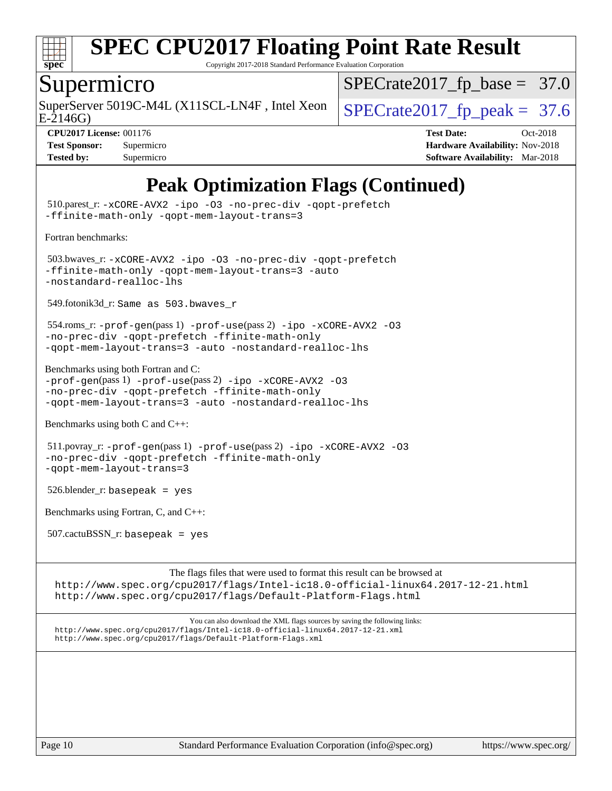

Copyright 2017-2018 Standard Performance Evaluation Corporation

### Supermicro

SuperServer 5019C-M4L (X11SCL-LN4F, Intel Xeon  $\big|$  SPECrate 2017 fp peak = 37.6

 $SPECrate2017_fp\_base = 37.0$ 

E-2146G)

#### **[CPU2017 License:](http://www.spec.org/auto/cpu2017/Docs/result-fields.html#CPU2017License)** 001176 **[Test Date:](http://www.spec.org/auto/cpu2017/Docs/result-fields.html#TestDate)** Oct-2018

| <b>Test Sponsor:</b> | Supermicro |
|----------------------|------------|
| <b>Tested by:</b>    | Supermicro |

**[Hardware Availability:](http://www.spec.org/auto/cpu2017/Docs/result-fields.html#HardwareAvailability)** Nov-2018 **[Software Availability:](http://www.spec.org/auto/cpu2017/Docs/result-fields.html#SoftwareAvailability)** Mar-2018

### **[Peak Optimization Flags \(Continued\)](http://www.spec.org/auto/cpu2017/Docs/result-fields.html#PeakOptimizationFlags)**

 510.parest\_r: [-xCORE-AVX2](http://www.spec.org/cpu2017/results/res2018q4/cpu2017-20181112-09622.flags.html#user_peakCXXOPTIMIZE510_parest_r_f-xCORE-AVX2) [-ipo](http://www.spec.org/cpu2017/results/res2018q4/cpu2017-20181112-09622.flags.html#user_peakCXXOPTIMIZE510_parest_r_f-ipo) [-O3](http://www.spec.org/cpu2017/results/res2018q4/cpu2017-20181112-09622.flags.html#user_peakCXXOPTIMIZE510_parest_r_f-O3) [-no-prec-div](http://www.spec.org/cpu2017/results/res2018q4/cpu2017-20181112-09622.flags.html#user_peakCXXOPTIMIZE510_parest_r_f-no-prec-div) [-qopt-prefetch](http://www.spec.org/cpu2017/results/res2018q4/cpu2017-20181112-09622.flags.html#user_peakCXXOPTIMIZE510_parest_r_f-qopt-prefetch) [-ffinite-math-only](http://www.spec.org/cpu2017/results/res2018q4/cpu2017-20181112-09622.flags.html#user_peakCXXOPTIMIZE510_parest_r_f_finite_math_only_cb91587bd2077682c4b38af759c288ed7c732db004271a9512da14a4f8007909a5f1427ecbf1a0fb78ff2a814402c6114ac565ca162485bbcae155b5e4258871) [-qopt-mem-layout-trans=3](http://www.spec.org/cpu2017/results/res2018q4/cpu2017-20181112-09622.flags.html#user_peakCXXOPTIMIZE510_parest_r_f-qopt-mem-layout-trans_de80db37974c74b1f0e20d883f0b675c88c3b01e9d123adea9b28688d64333345fb62bc4a798493513fdb68f60282f9a726aa07f478b2f7113531aecce732043) [Fortran benchmarks](http://www.spec.org/auto/cpu2017/Docs/result-fields.html#Fortranbenchmarks): 503.bwaves\_r: [-xCORE-AVX2](http://www.spec.org/cpu2017/results/res2018q4/cpu2017-20181112-09622.flags.html#user_peakFOPTIMIZE503_bwaves_r_f-xCORE-AVX2) [-ipo](http://www.spec.org/cpu2017/results/res2018q4/cpu2017-20181112-09622.flags.html#user_peakFOPTIMIZE503_bwaves_r_f-ipo) [-O3](http://www.spec.org/cpu2017/results/res2018q4/cpu2017-20181112-09622.flags.html#user_peakFOPTIMIZE503_bwaves_r_f-O3) [-no-prec-div](http://www.spec.org/cpu2017/results/res2018q4/cpu2017-20181112-09622.flags.html#user_peakFOPTIMIZE503_bwaves_r_f-no-prec-div) [-qopt-prefetch](http://www.spec.org/cpu2017/results/res2018q4/cpu2017-20181112-09622.flags.html#user_peakFOPTIMIZE503_bwaves_r_f-qopt-prefetch) [-ffinite-math-only](http://www.spec.org/cpu2017/results/res2018q4/cpu2017-20181112-09622.flags.html#user_peakFOPTIMIZE503_bwaves_r_f_finite_math_only_cb91587bd2077682c4b38af759c288ed7c732db004271a9512da14a4f8007909a5f1427ecbf1a0fb78ff2a814402c6114ac565ca162485bbcae155b5e4258871) [-qopt-mem-layout-trans=3](http://www.spec.org/cpu2017/results/res2018q4/cpu2017-20181112-09622.flags.html#user_peakFOPTIMIZE503_bwaves_r_f-qopt-mem-layout-trans_de80db37974c74b1f0e20d883f0b675c88c3b01e9d123adea9b28688d64333345fb62bc4a798493513fdb68f60282f9a726aa07f478b2f7113531aecce732043) [-auto](http://www.spec.org/cpu2017/results/res2018q4/cpu2017-20181112-09622.flags.html#user_peakFOPTIMIZE503_bwaves_r_f-auto) [-nostandard-realloc-lhs](http://www.spec.org/cpu2017/results/res2018q4/cpu2017-20181112-09622.flags.html#user_peakEXTRA_FOPTIMIZE503_bwaves_r_f_2003_std_realloc_82b4557e90729c0f113870c07e44d33d6f5a304b4f63d4c15d2d0f1fab99f5daaed73bdb9275d9ae411527f28b936061aa8b9c8f2d63842963b95c9dd6426b8a) 549.fotonik3d\_r: Same as 503.bwaves\_r 554.roms\_r: [-prof-gen](http://www.spec.org/cpu2017/results/res2018q4/cpu2017-20181112-09622.flags.html#user_peakPASS1_FFLAGSPASS1_LDFLAGS554_roms_r_prof_gen_5aa4926d6013ddb2a31985c654b3eb18169fc0c6952a63635c234f711e6e63dd76e94ad52365559451ec499a2cdb89e4dc58ba4c67ef54ca681ffbe1461d6b36)(pass 1) [-prof-use](http://www.spec.org/cpu2017/results/res2018q4/cpu2017-20181112-09622.flags.html#user_peakPASS2_FFLAGSPASS2_LDFLAGS554_roms_r_prof_use_1a21ceae95f36a2b53c25747139a6c16ca95bd9def2a207b4f0849963b97e94f5260e30a0c64f4bb623698870e679ca08317ef8150905d41bd88c6f78df73f19)(pass 2) [-ipo](http://www.spec.org/cpu2017/results/res2018q4/cpu2017-20181112-09622.flags.html#user_peakPASS1_FOPTIMIZEPASS2_FOPTIMIZE554_roms_r_f-ipo) [-xCORE-AVX2](http://www.spec.org/cpu2017/results/res2018q4/cpu2017-20181112-09622.flags.html#user_peakPASS2_FOPTIMIZE554_roms_r_f-xCORE-AVX2) [-O3](http://www.spec.org/cpu2017/results/res2018q4/cpu2017-20181112-09622.flags.html#user_peakPASS1_FOPTIMIZEPASS2_FOPTIMIZE554_roms_r_f-O3) [-no-prec-div](http://www.spec.org/cpu2017/results/res2018q4/cpu2017-20181112-09622.flags.html#user_peakPASS1_FOPTIMIZEPASS2_FOPTIMIZE554_roms_r_f-no-prec-div) [-qopt-prefetch](http://www.spec.org/cpu2017/results/res2018q4/cpu2017-20181112-09622.flags.html#user_peakPASS1_FOPTIMIZEPASS2_FOPTIMIZE554_roms_r_f-qopt-prefetch) [-ffinite-math-only](http://www.spec.org/cpu2017/results/res2018q4/cpu2017-20181112-09622.flags.html#user_peakPASS1_FOPTIMIZEPASS2_FOPTIMIZE554_roms_r_f_finite_math_only_cb91587bd2077682c4b38af759c288ed7c732db004271a9512da14a4f8007909a5f1427ecbf1a0fb78ff2a814402c6114ac565ca162485bbcae155b5e4258871) [-qopt-mem-layout-trans=3](http://www.spec.org/cpu2017/results/res2018q4/cpu2017-20181112-09622.flags.html#user_peakPASS1_FOPTIMIZEPASS2_FOPTIMIZE554_roms_r_f-qopt-mem-layout-trans_de80db37974c74b1f0e20d883f0b675c88c3b01e9d123adea9b28688d64333345fb62bc4a798493513fdb68f60282f9a726aa07f478b2f7113531aecce732043) [-auto](http://www.spec.org/cpu2017/results/res2018q4/cpu2017-20181112-09622.flags.html#user_peakPASS2_FOPTIMIZE554_roms_r_f-auto) [-nostandard-realloc-lhs](http://www.spec.org/cpu2017/results/res2018q4/cpu2017-20181112-09622.flags.html#user_peakEXTRA_FOPTIMIZE554_roms_r_f_2003_std_realloc_82b4557e90729c0f113870c07e44d33d6f5a304b4f63d4c15d2d0f1fab99f5daaed73bdb9275d9ae411527f28b936061aa8b9c8f2d63842963b95c9dd6426b8a) [Benchmarks using both Fortran and C](http://www.spec.org/auto/cpu2017/Docs/result-fields.html#BenchmarksusingbothFortranandC): [-prof-gen](http://www.spec.org/cpu2017/results/res2018q4/cpu2017-20181112-09622.flags.html#user_CC_FCpeak_prof_gen_5aa4926d6013ddb2a31985c654b3eb18169fc0c6952a63635c234f711e6e63dd76e94ad52365559451ec499a2cdb89e4dc58ba4c67ef54ca681ffbe1461d6b36)(pass 1) [-prof-use](http://www.spec.org/cpu2017/results/res2018q4/cpu2017-20181112-09622.flags.html#user_CC_FCpeak_prof_use_1a21ceae95f36a2b53c25747139a6c16ca95bd9def2a207b4f0849963b97e94f5260e30a0c64f4bb623698870e679ca08317ef8150905d41bd88c6f78df73f19)(pass 2) [-ipo](http://www.spec.org/cpu2017/results/res2018q4/cpu2017-20181112-09622.flags.html#user_CC_FCpeak_f-ipo) [-xCORE-AVX2](http://www.spec.org/cpu2017/results/res2018q4/cpu2017-20181112-09622.flags.html#user_CC_FCpeak_f-xCORE-AVX2) [-O3](http://www.spec.org/cpu2017/results/res2018q4/cpu2017-20181112-09622.flags.html#user_CC_FCpeak_f-O3) [-no-prec-div](http://www.spec.org/cpu2017/results/res2018q4/cpu2017-20181112-09622.flags.html#user_CC_FCpeak_f-no-prec-div) [-qopt-prefetch](http://www.spec.org/cpu2017/results/res2018q4/cpu2017-20181112-09622.flags.html#user_CC_FCpeak_f-qopt-prefetch) [-ffinite-math-only](http://www.spec.org/cpu2017/results/res2018q4/cpu2017-20181112-09622.flags.html#user_CC_FCpeak_f_finite_math_only_cb91587bd2077682c4b38af759c288ed7c732db004271a9512da14a4f8007909a5f1427ecbf1a0fb78ff2a814402c6114ac565ca162485bbcae155b5e4258871) [-qopt-mem-layout-trans=3](http://www.spec.org/cpu2017/results/res2018q4/cpu2017-20181112-09622.flags.html#user_CC_FCpeak_f-qopt-mem-layout-trans_de80db37974c74b1f0e20d883f0b675c88c3b01e9d123adea9b28688d64333345fb62bc4a798493513fdb68f60282f9a726aa07f478b2f7113531aecce732043) [-auto](http://www.spec.org/cpu2017/results/res2018q4/cpu2017-20181112-09622.flags.html#user_CC_FCpeak_f-auto) [-nostandard-realloc-lhs](http://www.spec.org/cpu2017/results/res2018q4/cpu2017-20181112-09622.flags.html#user_CC_FCpeak_f_2003_std_realloc_82b4557e90729c0f113870c07e44d33d6f5a304b4f63d4c15d2d0f1fab99f5daaed73bdb9275d9ae411527f28b936061aa8b9c8f2d63842963b95c9dd6426b8a) [Benchmarks using both C and C++](http://www.spec.org/auto/cpu2017/Docs/result-fields.html#BenchmarksusingbothCandCXX): 511.povray\_r: [-prof-gen](http://www.spec.org/cpu2017/results/res2018q4/cpu2017-20181112-09622.flags.html#user_peakPASS1_CFLAGSPASS1_CXXFLAGSPASS1_LDFLAGS511_povray_r_prof_gen_5aa4926d6013ddb2a31985c654b3eb18169fc0c6952a63635c234f711e6e63dd76e94ad52365559451ec499a2cdb89e4dc58ba4c67ef54ca681ffbe1461d6b36)(pass 1) [-prof-use](http://www.spec.org/cpu2017/results/res2018q4/cpu2017-20181112-09622.flags.html#user_peakPASS2_CFLAGSPASS2_CXXFLAGSPASS2_LDFLAGS511_povray_r_prof_use_1a21ceae95f36a2b53c25747139a6c16ca95bd9def2a207b4f0849963b97e94f5260e30a0c64f4bb623698870e679ca08317ef8150905d41bd88c6f78df73f19)(pass 2) [-ipo](http://www.spec.org/cpu2017/results/res2018q4/cpu2017-20181112-09622.flags.html#user_peakPASS1_COPTIMIZEPASS1_CXXOPTIMIZEPASS2_COPTIMIZEPASS2_CXXOPTIMIZE511_povray_r_f-ipo) [-xCORE-AVX2](http://www.spec.org/cpu2017/results/res2018q4/cpu2017-20181112-09622.flags.html#user_peakPASS2_COPTIMIZEPASS2_CXXOPTIMIZE511_povray_r_f-xCORE-AVX2) [-O3](http://www.spec.org/cpu2017/results/res2018q4/cpu2017-20181112-09622.flags.html#user_peakPASS1_COPTIMIZEPASS1_CXXOPTIMIZEPASS2_COPTIMIZEPASS2_CXXOPTIMIZE511_povray_r_f-O3) [-no-prec-div](http://www.spec.org/cpu2017/results/res2018q4/cpu2017-20181112-09622.flags.html#user_peakPASS1_COPTIMIZEPASS1_CXXOPTIMIZEPASS2_COPTIMIZEPASS2_CXXOPTIMIZE511_povray_r_f-no-prec-div) [-qopt-prefetch](http://www.spec.org/cpu2017/results/res2018q4/cpu2017-20181112-09622.flags.html#user_peakPASS1_COPTIMIZEPASS1_CXXOPTIMIZEPASS2_COPTIMIZEPASS2_CXXOPTIMIZE511_povray_r_f-qopt-prefetch) [-ffinite-math-only](http://www.spec.org/cpu2017/results/res2018q4/cpu2017-20181112-09622.flags.html#user_peakPASS1_COPTIMIZEPASS1_CXXOPTIMIZEPASS2_COPTIMIZEPASS2_CXXOPTIMIZE511_povray_r_f_finite_math_only_cb91587bd2077682c4b38af759c288ed7c732db004271a9512da14a4f8007909a5f1427ecbf1a0fb78ff2a814402c6114ac565ca162485bbcae155b5e4258871) [-qopt-mem-layout-trans=3](http://www.spec.org/cpu2017/results/res2018q4/cpu2017-20181112-09622.flags.html#user_peakPASS1_COPTIMIZEPASS1_CXXOPTIMIZEPASS2_COPTIMIZEPASS2_CXXOPTIMIZE511_povray_r_f-qopt-mem-layout-trans_de80db37974c74b1f0e20d883f0b675c88c3b01e9d123adea9b28688d64333345fb62bc4a798493513fdb68f60282f9a726aa07f478b2f7113531aecce732043) 526.blender\_r: basepeak = yes [Benchmarks using Fortran, C, and C++:](http://www.spec.org/auto/cpu2017/Docs/result-fields.html#BenchmarksusingFortranCandCXX) 507.cactuBSSN\_r: basepeak = yes The flags files that were used to format this result can be browsed at

<http://www.spec.org/cpu2017/flags/Intel-ic18.0-official-linux64.2017-12-21.html> <http://www.spec.org/cpu2017/flags/Default-Platform-Flags.html>

You can also download the XML flags sources by saving the following links: <http://www.spec.org/cpu2017/flags/Intel-ic18.0-official-linux64.2017-12-21.xml> <http://www.spec.org/cpu2017/flags/Default-Platform-Flags.xml>